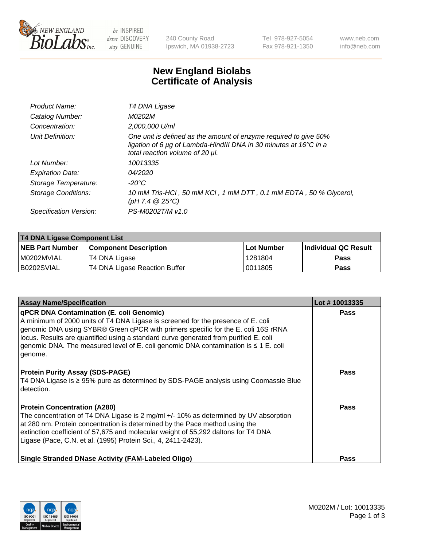

 $be$  INSPIRED drive DISCOVERY stay GENUINE

240 County Road Ipswich, MA 01938-2723 Tel 978-927-5054 Fax 978-921-1350 www.neb.com info@neb.com

## **New England Biolabs Certificate of Analysis**

| Product Name:           | T4 DNA Ligase                                                                                                                                                            |
|-------------------------|--------------------------------------------------------------------------------------------------------------------------------------------------------------------------|
| Catalog Number:         | M0202M                                                                                                                                                                   |
| Concentration:          | 2,000,000 U/ml                                                                                                                                                           |
| Unit Definition:        | One unit is defined as the amount of enzyme required to give 50%<br>ligation of 6 µg of Lambda-HindIII DNA in 30 minutes at 16°C in a<br>total reaction volume of 20 µl. |
| Lot Number:             | 10013335                                                                                                                                                                 |
| <b>Expiration Date:</b> | 04/2020                                                                                                                                                                  |
| Storage Temperature:    | $-20^{\circ}$ C                                                                                                                                                          |
| Storage Conditions:     | 10 mM Tris-HCl, 50 mM KCl, 1 mM DTT, 0.1 mM EDTA, 50 % Glycerol,<br>(pH 7.4 $@25°C$ )                                                                                    |
| Specification Version:  | PS-M0202T/M v1.0                                                                                                                                                         |

| T4 DNA Ligase Component List |                               |            |                             |  |
|------------------------------|-------------------------------|------------|-----------------------------|--|
| <b>NEB Part Number</b>       | <b>Component Description</b>  | Lot Number | <b>Individual QC Result</b> |  |
| I M0202MVIAL                 | T4 DNA Ligase                 | 1281804    | Pass                        |  |
| B0202SVIAL                   | T4 DNA Ligase Reaction Buffer | 0011805    | <b>Pass</b>                 |  |

| <b>Assay Name/Specification</b>                                                                                                                                                                                                                                                                                                                                                                                         | Lot #10013335 |
|-------------------------------------------------------------------------------------------------------------------------------------------------------------------------------------------------------------------------------------------------------------------------------------------------------------------------------------------------------------------------------------------------------------------------|---------------|
| <b>qPCR DNA Contamination (E. coli Genomic)</b><br>A minimum of 2000 units of T4 DNA Ligase is screened for the presence of E. coli<br>genomic DNA using SYBR® Green qPCR with primers specific for the E. coli 16S rRNA<br>locus. Results are quantified using a standard curve generated from purified E. coli<br>genomic DNA. The measured level of E. coli genomic DNA contamination is $\leq 1$ E. coli<br>genome. | <b>Pass</b>   |
| <b>Protein Purity Assay (SDS-PAGE)</b><br>T4 DNA Ligase is ≥ 95% pure as determined by SDS-PAGE analysis using Coomassie Blue<br>detection.                                                                                                                                                                                                                                                                             | Pass          |
| <b>Protein Concentration (A280)</b><br>The concentration of T4 DNA Ligase is 2 mg/ml +/- 10% as determined by UV absorption<br>at 280 nm. Protein concentration is determined by the Pace method using the<br>extinction coefficient of 57,675 and molecular weight of 55,292 daltons for T4 DNA<br>Ligase (Pace, C.N. et al. (1995) Protein Sci., 4, 2411-2423).                                                       | Pass          |
| <b>Single Stranded DNase Activity (FAM-Labeled Oligo)</b>                                                                                                                                                                                                                                                                                                                                                               | <b>Pass</b>   |

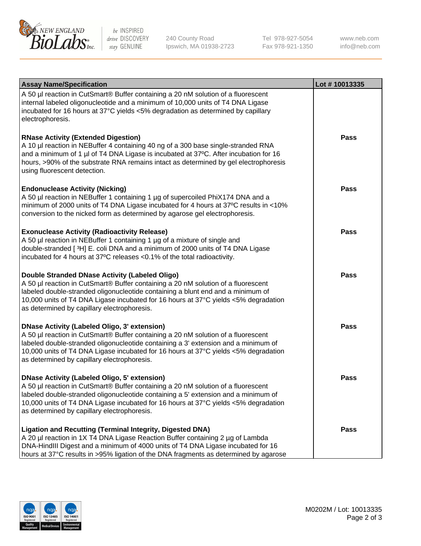

be INSPIRED drive DISCOVERY stay GENUINE

240 County Road Ipswich, MA 01938-2723 Tel 978-927-5054 Fax 978-921-1350

www.neb.com info@neb.com

| <b>Assay Name/Specification</b>                                                                                                                                                                                                                                                                                                                                      | Lot #10013335 |
|----------------------------------------------------------------------------------------------------------------------------------------------------------------------------------------------------------------------------------------------------------------------------------------------------------------------------------------------------------------------|---------------|
| A 50 µl reaction in CutSmart® Buffer containing a 20 nM solution of a fluorescent<br>internal labeled oligonucleotide and a minimum of 10,000 units of T4 DNA Ligase<br>incubated for 16 hours at 37°C yields <5% degradation as determined by capillary<br>electrophoresis.                                                                                         |               |
| <b>RNase Activity (Extended Digestion)</b><br>A 10 µl reaction in NEBuffer 4 containing 40 ng of a 300 base single-stranded RNA<br>and a minimum of 1 µl of T4 DNA Ligase is incubated at 37°C. After incubation for 16<br>hours, >90% of the substrate RNA remains intact as determined by gel electrophoresis<br>using fluorescent detection.                      | Pass          |
| <b>Endonuclease Activity (Nicking)</b><br>A 50 µl reaction in NEBuffer 1 containing 1 µg of supercoiled PhiX174 DNA and a<br>minimum of 2000 units of T4 DNA Ligase incubated for 4 hours at 37°C results in <10%<br>conversion to the nicked form as determined by agarose gel electrophoresis.                                                                     | <b>Pass</b>   |
| <b>Exonuclease Activity (Radioactivity Release)</b><br>A 50 µl reaction in NEBuffer 1 containing 1 µg of a mixture of single and<br>double-stranded [3H] E. coli DNA and a minimum of 2000 units of T4 DNA Ligase<br>incubated for 4 hours at 37°C releases <0.1% of the total radioactivity.                                                                        | <b>Pass</b>   |
| Double Stranded DNase Activity (Labeled Oligo)<br>A 50 µl reaction in CutSmart® Buffer containing a 20 nM solution of a fluorescent<br>labeled double-stranded oligonucleotide containing a blunt end and a minimum of<br>10,000 units of T4 DNA Ligase incubated for 16 hours at 37°C yields <5% degradation<br>as determined by capillary electrophoresis.         | <b>Pass</b>   |
| <b>DNase Activity (Labeled Oligo, 3' extension)</b><br>A 50 µl reaction in CutSmart® Buffer containing a 20 nM solution of a fluorescent<br>labeled double-stranded oligonucleotide containing a 3' extension and a minimum of<br>10,000 units of T4 DNA Ligase incubated for 16 hours at 37°C yields <5% degradation<br>as determined by capillary electrophoresis. | <b>Pass</b>   |
| <b>DNase Activity (Labeled Oligo, 5' extension)</b><br>A 50 µl reaction in CutSmart® Buffer containing a 20 nM solution of a fluorescent<br>labeled double-stranded oligonucleotide containing a 5' extension and a minimum of<br>10,000 units of T4 DNA Ligase incubated for 16 hours at 37°C yields <5% degradation<br>as determined by capillary electrophoresis. | Pass          |
| <b>Ligation and Recutting (Terminal Integrity, Digested DNA)</b><br>A 20 µl reaction in 1X T4 DNA Ligase Reaction Buffer containing 2 µg of Lambda<br>DNA-HindIII Digest and a minimum of 4000 units of T4 DNA Ligase incubated for 16<br>hours at 37°C results in >95% ligation of the DNA fragments as determined by agarose                                       | Pass          |